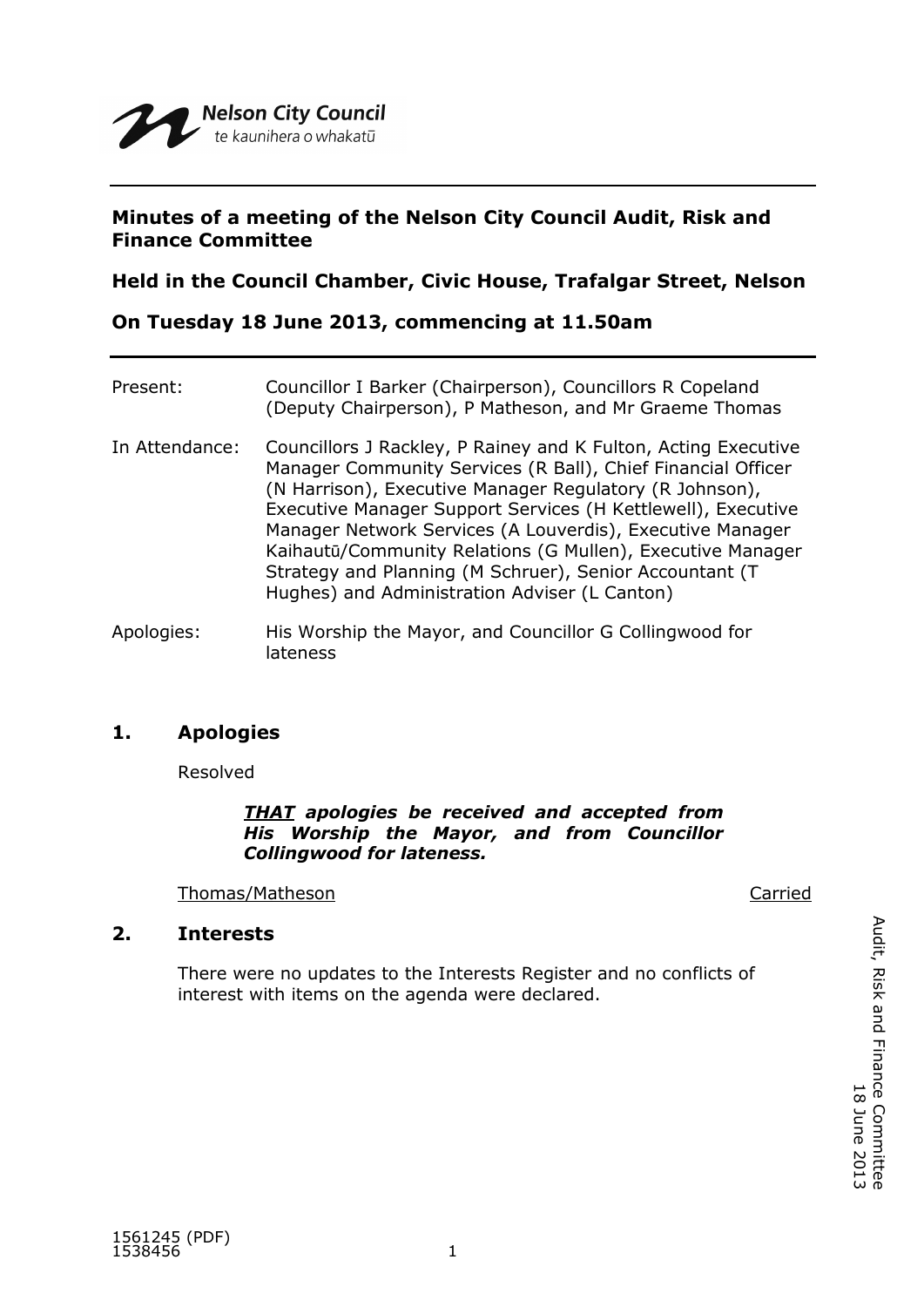

## **Minutes of a meeting of the Nelson City Council Audit, Risk and Finance Committee**

**Held in the Council Chamber, Civic House, Trafalgar Street, Nelson**

**On Tuesday 18 June 2013, commencing at 11.50am**

| Present:       | Councillor I Barker (Chairperson), Councillors R Copeland<br>(Deputy Chairperson), P Matheson, and Mr Graeme Thomas                                                                                                                                                                                                                                                                                                                                                                              |
|----------------|--------------------------------------------------------------------------------------------------------------------------------------------------------------------------------------------------------------------------------------------------------------------------------------------------------------------------------------------------------------------------------------------------------------------------------------------------------------------------------------------------|
| In Attendance: | Councillors J Rackley, P Rainey and K Fulton, Acting Executive<br>Manager Community Services (R Ball), Chief Financial Officer<br>(N Harrison), Executive Manager Regulatory (R Johnson),<br>Executive Manager Support Services (H Kettlewell), Executive<br>Manager Network Services (A Louverdis), Executive Manager<br>Kaihautū/Community Relations (G Mullen), Executive Manager<br>Strategy and Planning (M Schruer), Senior Accountant (T<br>Hughes) and Administration Adviser (L Canton) |
| Apologies:     | His Worship the Mayor, and Councillor G Collingwood for<br>lateness                                                                                                                                                                                                                                                                                                                                                                                                                              |

# **1. Apologies**

Resolved

## *THAT apologies be received and accepted from His Worship the Mayor, and from Councillor Collingwood for lateness.*

Thomas/Matheson Carried

# **2. Interests**

There were no updates to the Interests Register and no conflicts of interest with items on the agenda were declared.

Audit, Risk and Finance Committee<br>Audit, Risk and Finance Committee Audit, Risk and Finance Committee 18 June 2013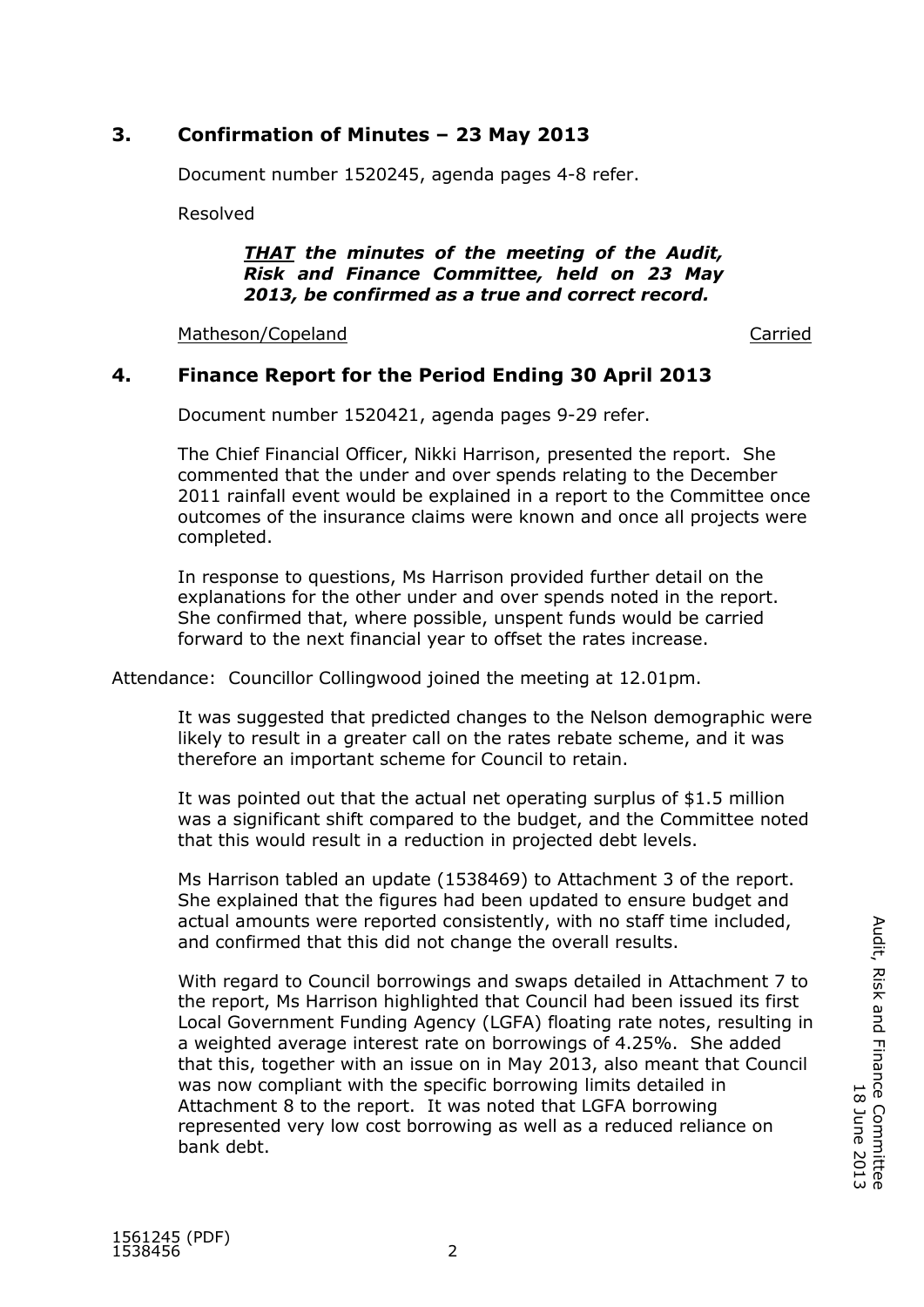# **3. Confirmation of Minutes – 23 May 2013**

Document number 1520245, agenda pages 4-8 refer.

Resolved

#### *THAT the minutes of the meeting of the Audit, Risk and Finance Committee, held on 23 May 2013, be confirmed as a true and correct record.*

Matheson/Copeland Carried Carried Carried Carried Carried Carried Carried Carried Carried Carried Carried Carried

# **4. Finance Report for the Period Ending 30 April 2013**

Document number 1520421, agenda pages 9-29 refer.

The Chief Financial Officer, Nikki Harrison, presented the report. She commented that the under and over spends relating to the December 2011 rainfall event would be explained in a report to the Committee once outcomes of the insurance claims were known and once all projects were completed.

In response to questions, Ms Harrison provided further detail on the explanations for the other under and over spends noted in the report. She confirmed that, where possible, unspent funds would be carried forward to the next financial year to offset the rates increase.

Attendance: Councillor Collingwood joined the meeting at 12.01pm.

It was suggested that predicted changes to the Nelson demographic were likely to result in a greater call on the rates rebate scheme, and it was therefore an important scheme for Council to retain.

It was pointed out that the actual net operating surplus of \$1.5 million was a significant shift compared to the budget, and the Committee noted that this would result in a reduction in projected debt levels.

Ms Harrison tabled an update (1538469) to Attachment 3 of the report. She explained that the figures had been updated to ensure budget and actual amounts were reported consistently, with no staff time included, and confirmed that this did not change the overall results.

With regard to Council borrowings and swaps detailed in Attachment 7 to the report, Ms Harrison highlighted that Council had been issued its first Local Government Funding Agency (LGFA) floating rate notes, resulting in a weighted average interest rate on borrowings of 4.25%. She added that this, together with an issue on in May 2013, also meant that Council was now compliant with the specific borrowing limits detailed in Attachment 8 to the report. It was noted that LGFA borrowing represented very low cost borrowing as well as a reduced reliance on bank debt.